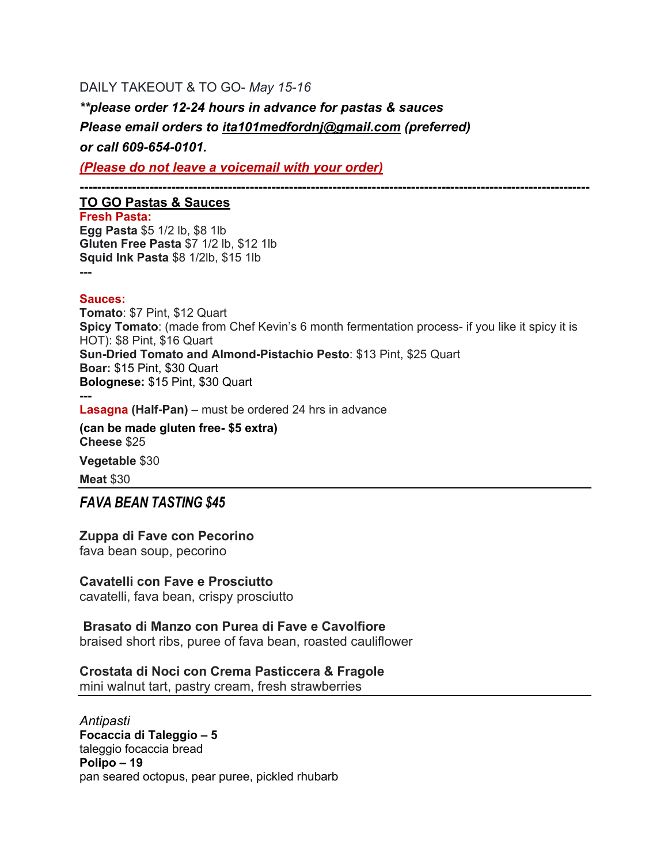## DAILY TAKEOUT & TO GO- *May 15-16*

*\*\*please order 12-24 hours in advance for pastas & sauces Please email orders to ita101medfordnj@gmail.com (preferred) or call 609-654-0101.*

*(Please do not leave a voicemail with your order)*

**---------------------------------------------------------------------------------------------------------------------**

### **TO GO Pastas & Sauces**

**Fresh Pasta: Egg Pasta** \$5 1/2 lb, \$8 1lb **Gluten Free Pasta** \$7 1/2 lb, \$12 1lb **Squid Ink Pasta** \$8 1/2lb, \$15 1lb **---**

### **Sauces:**

**Tomato**: \$7 Pint, \$12 Quart **Spicy Tomato**: (made from Chef Kevin's 6 month fermentation process- if you like it spicy it is HOT): \$8 Pint, \$16 Quart **Sun-Dried Tomato and Almond-Pistachio Pesto**: \$13 Pint, \$25 Quart **Boar:** \$15 Pint, \$30 Quart **Bolognese:** \$15 Pint, \$30 Quart **---**

**Lasagna (Half-Pan)** – must be ordered 24 hrs in advance

**(can be made gluten free- \$5 extra) Cheese** \$25

**Vegetable** \$30

**Meat** \$30

## *FAVA BEAN TASTING \$45*

## **Zuppa di Fave con Pecorino**

fava bean soup, pecorino

## **Cavatelli con Fave e Prosciutto**

cavatelli, fava bean, crispy prosciutto

## **Brasato di Manzo con Purea di Fave e Cavolfiore**

braised short ribs, puree of fava bean, roasted cauliflower

### **Crostata di Noci con Crema Pasticcera & Fragole**

mini walnut tart, pastry cream, fresh strawberries

*Antipasti* **Focaccia di Taleggio – 5** taleggio focaccia bread **Polipo – 19** pan seared octopus, pear puree, pickled rhubarb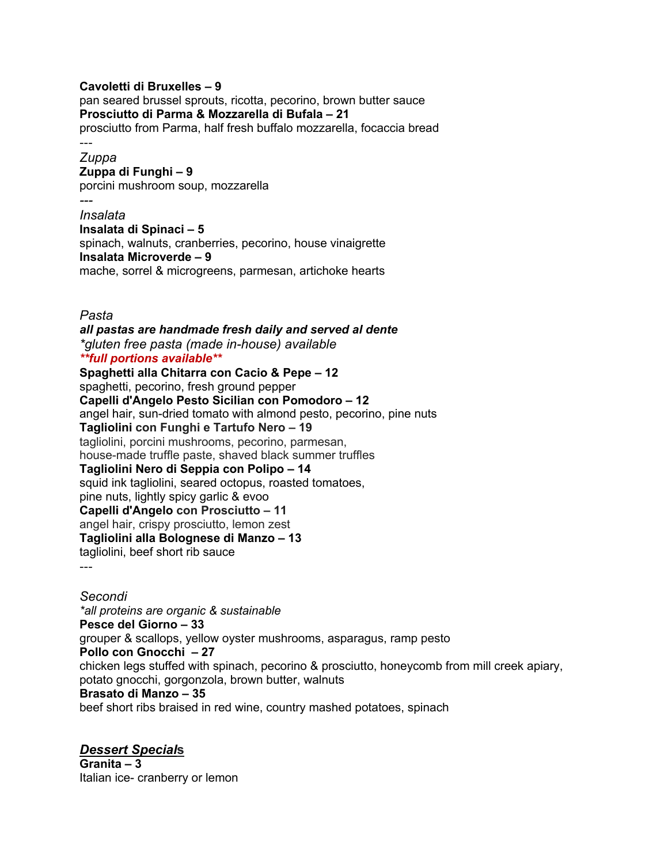### **Cavoletti di Bruxelles – 9**

pan seared brussel sprouts, ricotta, pecorino, brown butter sauce **Prosciutto di Parma & Mozzarella di Bufala – 21** prosciutto from Parma, half fresh buffalo mozzarella, focaccia bread

# ---

*Zuppa* **Zuppa di Funghi – 9**

porcini mushroom soup, mozzarella

### *---*

*Insalata* **Insalata di Spinaci – 5** spinach, walnuts, cranberries, pecorino, house vinaigrette **Insalata Microverde – 9** mache, sorrel & microgreens, parmesan, artichoke hearts

*Pasta*

*all pastas are handmade fresh daily and served al dente \*gluten free pasta (made in-house) available \*\*full portions available\*\** **Spaghetti alla Chitarra con Cacio & Pepe – 12** spaghetti, pecorino, fresh ground pepper **Capelli d'Angelo Pesto Sicilian con Pomodoro – 12** angel hair, sun-dried tomato with almond pesto, pecorino, pine nuts **Tagliolini con Funghi e Tartufo Nero – 19** tagliolini, porcini mushrooms, pecorino, parmesan, house-made truffle paste, shaved black summer truffles **Tagliolini Nero di Seppia con Polipo – 14** squid ink tagliolini, seared octopus, roasted tomatoes, pine nuts, lightly spicy garlic & evoo **Capelli d'Angelo con Prosciutto – 11** angel hair, crispy prosciutto, lemon zest

### **Tagliolini alla Bolognese di Manzo – 13**

tagliolini, beef short rib sauce

---

*Secondi \*all proteins are organic & sustainable* **Pesce del Giorno – 33** grouper & scallops, yellow oyster mushrooms, asparagus, ramp pesto **Pollo con Gnocchi – 27** chicken legs stuffed with spinach, pecorino & prosciutto, honeycomb from mill creek apiary, potato gnocchi, gorgonzola, brown butter, walnuts **Brasato di Manzo – 35** beef short ribs braised in red wine, country mashed potatoes, spinach

## *Dessert Special***s**

**Granita – 3** Italian ice- cranberry or lemon